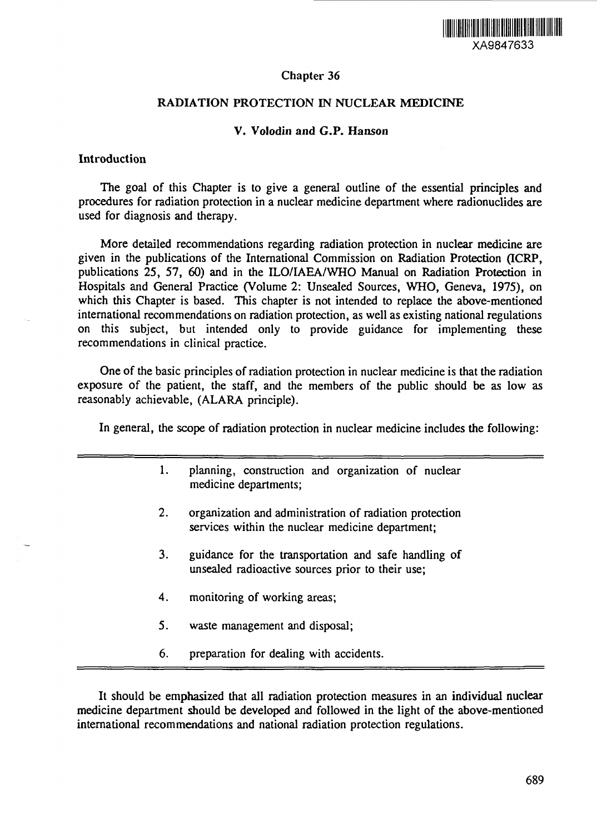

# Chapter 36

# RADIATION PROTECTION IN NUCLEAR MEDICINE

## V. Volodin and G.P. Hanson

### Introduction

The goal of this Chapter is to give a general outline of the essential principles and procedures for radiation protection in a nuclear medicine department where radionuclides are used for diagnosis and therapy.

More detailed recommendations regarding radiation protection in nuclear medicine are given in the publications of the International Commission on Radiation Protection (ICRP, publications 25, 57, 60) and in the ILO/IAEA/WHO Manual on Radiation Protection in Hospitals and General Practice (Volume 2: Unsealed Sources, WHO, Geneva, 1975), on which this Chapter is based. This chapter is not intended to replace the above-mentioned international recommendations on radiation protection, as well as existing national regulations on this subject, but intended only to provide guidance for implementing these recommendations in clinical practice.

One of the basic principles of radiation protection in nuclear medicine is that the radiation exposure of the patient, the staff, and the members of the public should be as low as reasonably achievable, (ALARA principle).

In general, the scope of radiation protection in nuclear medicine includes the following:

- 1. planning, construction and organization of nuclear medicine departments;
- 2. organization and administration of radiation protection services within the nuclear medicine department;
- 3. guidance for the transportation and safe handling of unsealed radioactive sources prior to their use;
- 4. monitoring of working areas;
- 5. waste management and disposal;
- 6. preparation for dealing with accidents.

It should be emphasized that all radiation protection measures in an individual nuclear medicine department should be developed and followed in the light of the above-mentioned international recommendations and national radiation protection regulations.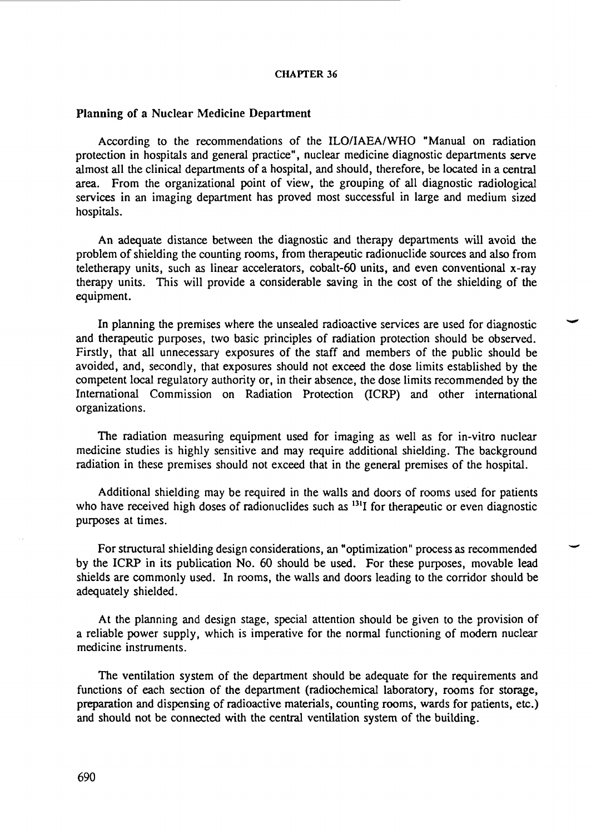#### Planning of a Nuclear Medicine Department

According to the recommendations of the ILO/IAEA/WHO "Manual on radiation protection in hospitals and general practice", nuclear medicine diagnostic departments serve almost all the clinical departments of a hospital, and should, therefore, be located in a central area. From the organizational point of view, the grouping of all diagnostic radiological services in an imaging department has proved most successful in large and medium sized hospitals.

An adequate distance between the diagnostic and therapy departments will avoid the problem of shielding the counting rooms, from therapeutic radionuclide sources and also from teletherapy units, such as linear accelerators, cobalt-60 units, and even conventional x-ray therapy units. This will provide a considerable saving in the cost of the shielding of the equipment.

In planning the premises where the unsealed radioactive services are used for diagnostic and therapeutic purposes, two basic principles of radiation protection should be observed. Firstly, that all unnecessary exposures of the staff and members of the public should be avoided, and, secondly, that exposures should not exceed the dose limits established by the competent local regulatory authority or, in their absence, the dose limits recommended by the International Commission on Radiation Protection (ICRP) and other international organizations.

The radiation measuring equipment used for imaging as well as for in-vitro nuclear medicine studies is highly sensitive and may require additional shielding. The background radiation in these premises should not exceed that in the general premises of the hospital.

Additional shielding may be required in the walls and doors of rooms used for patients who have received high doses of radionuclides such as <sup>131</sup>I for therapeutic or even diagnostic purposes at times.

For structural shielding design considerations, an "optimization" process as recommended by the ICRP in its publication No. 60 should be used. For these purposes, movable lead shields are commonly used. In rooms, the walls and doors leading to the corridor should be adequately shielded.

At the planning and design stage, special attention should be given to the provision of a reliable power supply, which is imperative for the normal functioning of modern nuclear medicine instruments.

The ventilation system of the department should be adequate for the requirements and functions of each section of the department (radiochemical laboratory, rooms for storage, preparation and dispensing of radioactive materials, counting rooms, wards for patients, etc.) and should not be connected with the central ventilation system of the building.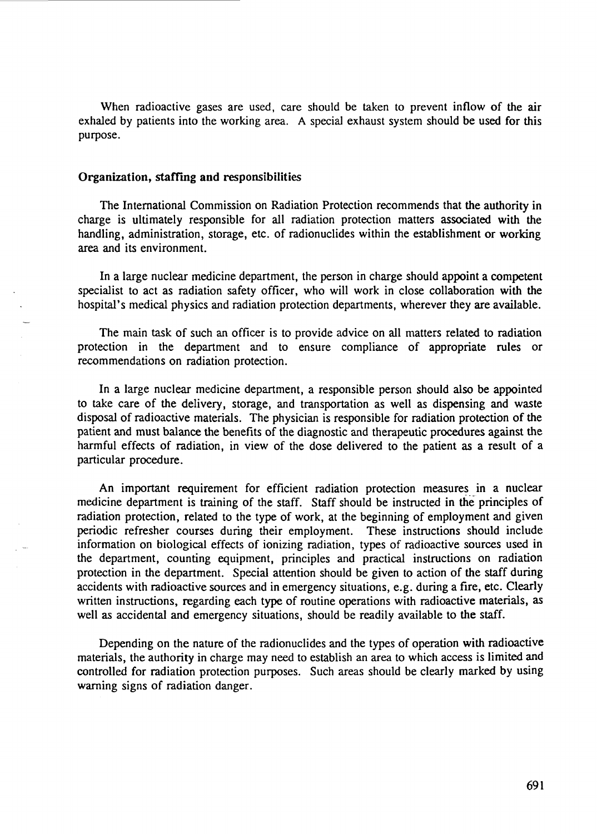When radioactive gases are used, care should be taken to prevent inflow of the air exhaled by patients into the working area. A special exhaust system should be used for this purpose.

### Organization, staffing and responsibilities

The International Commission on Radiation Protection recommends that the authority in charge is ultimately responsible for all radiation protection matters associated with the handling, administration, storage, etc. of radionuclides within the establishment or working area and its environment.

In a large nuclear medicine department, the person in charge should appoint a competent specialist to act as radiation safety officer, who will work in close collaboration with the hospital's medical physics and radiation protection departments, wherever they are available.

The main task of such an officer is to provide advice on all matters related to radiation protection in the department and to ensure compliance of appropriate rules or recommendations on radiation protection.

In a large nuclear medicine department, a responsible person should also be appointed to take care of the delivery, storage, and transportation as well as dispensing and waste disposal of radioactive materials. The physician is responsible for radiation protection of the patient and must balance the benefits of the diagnostic and therapeutic procedures against the harmful effects of radiation, in view of the dose delivered to the patient as a result of a particular procedure.

An important requirement for efficient radiation protection measures in a nuclear medicine department is training of the staff. Staff should be instructed in the principles of radiation protection, related to the type of work, at the beginning of employment and given periodic refresher courses during their employment. These instructions should include information on biological effects of ionizing radiation, types of radioactive sources used in the department, counting equipment, principles and practical instructions on radiation protection in the department. Special attention should be given to action of the staff during accidents with radioactive sources and in emergency situations, e.g. during a fire, etc. Clearly written instructions, regarding each type of routine operations with radioactive materials, as well as accidental and emergency situations, should be readily available to the staff.

Depending on the nature of the radionuclides and the types of operation with radioactive materials, the authority in charge may need to establish an area to which access is limited and controlled for radiation protection purposes. Such areas should be clearly marked by using warning signs of radiation danger.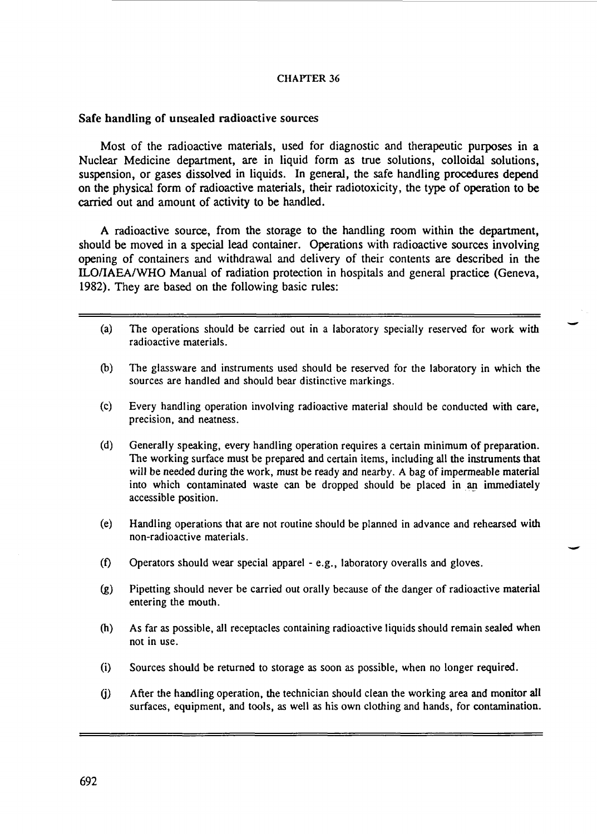### Safe handling of unsealed radioactive sources

Most of the radioactive materials, used for diagnostic and therapeutic purposes in a Nuclear Medicine department, are in liquid form as true solutions, colloidal solutions, suspension, or gases dissolved in liquids. In general, the safe handling procedures depend on the physical form of radioactive materials, their radiotoxicity, the type of operation to be carried out and amount of activity to be handled.

A radioactive source, from the storage to the handling room within the department, should be moved in a special lead container. Operations with radioactive sources involving opening of containers and withdrawal and delivery of their contents are described in the ELO/IAEA/WHO Manual of radiation protection in hospitals and general practice (Geneva, 1982). They are based on the following basic rules:

- (a) The operations should be carried out in a laboratory specially reserved for work with radioactive materials.
- (b) The glassware and instruments used should be reserved for the laboratory in which the sources are handled and should bear distinctive markings.
- (c) Every handling operation involving radioactive material should be conducted with care, precision, and neatness.
- (d) Generally speaking, every handling operation requires a certain minimum of preparation. The working surface must be prepared and certain items, including all the instruments **that** will be needed during the work, must be ready and nearby. A bag of impermeable material into which contaminated waste can be dropped should be placed in an immediately accessible position.
- (e) Handling operations that are not routine should be planned in advance and rehearsed with non-radioactive materials.
- (f) Operators should wear special apparel e.g., laboratory overalls and gloves.
- (g) Pipetting should never be carried out orally because of the danger of radioactive material entering the mouth.
- (h) As far as possible, all receptacles containing radioactive liquids should remain sealed when not in use.
- (i) Sources should be returned to storage as soon as possible, when no longer required.
- (j) After the handling operation, the technician should clean the working area and monitor **all** surfaces, equipment, and tools, as well as his own clothing and hands, for contamination.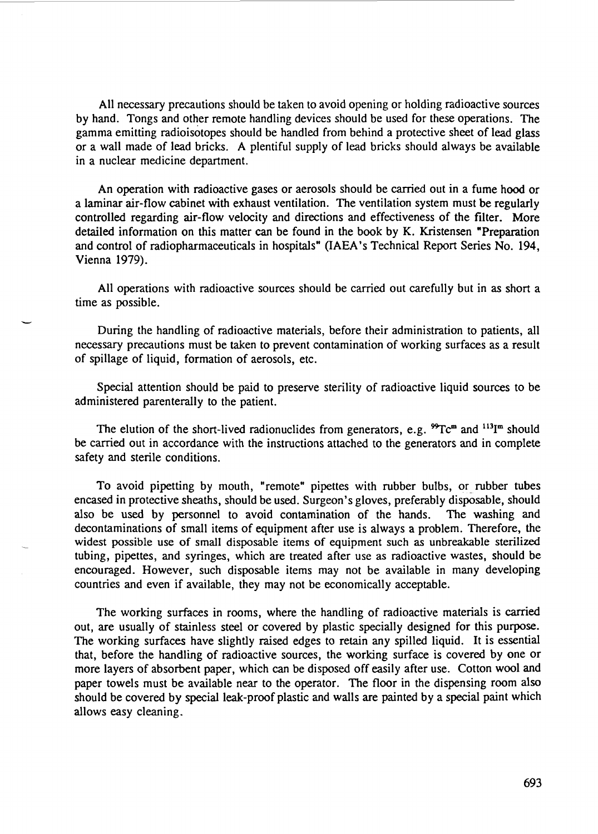All necessary precautions should be taken to avoid opening or holding radioactive sources by hand. Tongs and other remote handling devices should be used for these operations. The gamma emitting radioisotopes should be handled from behind a protective sheet of lead glass or a wall made of lead bricks. A plentiful supply of lead bricks should always be available in a nuclear medicine department.

An operation with radioactive gases or aerosols should be carried out in a fume hood or a laminar air-flow cabinet with exhaust ventilation. The ventilation system must be regularly controlled regarding air-flow velocity and directions and effectiveness of the filter. More detailed information on this matter can be found in the book by K. Kristensen "Preparation and control of radiopharmaceuticals in hospitals" (IAEA's Technical Report Series No. 194, Vienna 1979).

All operations with radioactive sources should be carried out carefully but in as short a time as possible.

During the handling of radioactive materials, before their administration to patients, all necessary precautions must be taken to prevent contamination of working surfaces as a result of spillage of liquid, formation of aerosols, etc.

Special attention should be paid to preserve sterility of radioactive liquid sources to be administered parenterally to the patient.

The elution of the short-lived radionuclides from generators, e.g.  ${}^{99}Tc^{m}$  and  ${}^{113}I^{m}$  should be carried out in accordance with the instructions attached to the generators and in complete safety and sterile conditions.

To avoid pipetting by mouth, "remote" pipettes with rubber bulbs, or rubber tubes encased in protective sheaths, should be used. Surgeon's gloves, preferably disposable, should also be used by personnel to avoid contamination of the hands. The washing and decontaminations of small items of equipment after use is always a problem. Therefore, the widest possible use of small disposable items of equipment such as unbreakable sterilized tubing, pipettes, and syringes, which are treated after use as radioactive wastes, should be encouraged. However, such disposable items may not be available in many developing countries and even if available, they may not be economically acceptable.

The working surfaces in rooms, where the handling of radioactive materials is carried out, are usually of stainless steel or covered by plastic specially designed for this purpose. The working surfaces have slightly raised edges to retain any spilled liquid. It is essential that, before the handling of radioactive sources, the working surface is covered by one or more layers of absorbent paper, which can be disposed off easily after use. Cotton wool and paper towels must be available near to the operator. The floor in the dispensing room also should be covered by special leak-proof plastic and walls are painted by a special paint which allows easy cleaning.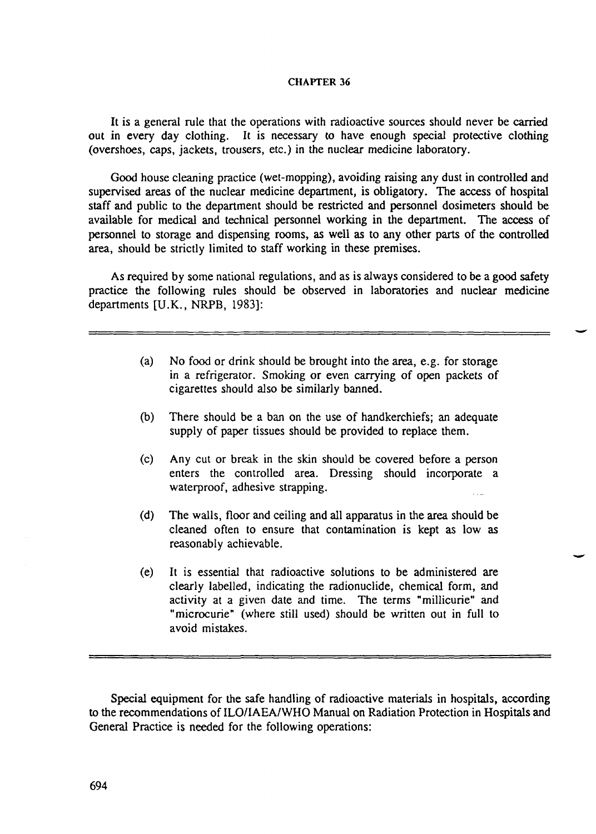It is a general rule that the operations with radioactive sources should never be carried out in every day clothing. It is necessary to have enough special protective clothing (overshoes, caps, jackets, trousers, etc.) in the nuclear medicine laboratory.

Good house cleaning practice (wet-mopping), avoiding raising any dust in controlled and supervised areas of the nuclear medicine department, is obligatory. The access of hospital staff and public to the department should be restricted and personnel dosimeters should be available for medical and technical personnel working in the department. The access of personnel to storage and dispensing rooms, as well as to any other parts of the controlled area, should be strictly limited to staff working in these premises.

As required by some national regulations, and as is always considered to be a good safety practice the following rules should be observed in laboratories and nuclear medicine departments [U.K., NRPB, 1983]:

- (a) No food or drink should be brought into the area, e.g. for storage in a refrigerator. Smoking or even carrying of open packets of cigarettes should also be similarly banned.
- (b) There should be a ban on the use of handkerchiefs; an adequate supply of paper tissues should be provided to replace them.
- (c) Any cut or break in the skin should be covered before a person enters the controlled area. Dressing should incorporate a waterproof, adhesive strapping.
- (d) The walls, floor and ceiling and all apparatus in the area should be cleaned often to ensure that contamination is kept as low as reasonably achievable.
- (e) It is essential that radioactive solutions to be administered are clearly labelled, indicating the radionuclide, chemical form, and activity at a given date and time. The terms "millicurie" and "microcurie" (where still used) should be written out in full to avoid mistakes.

Special equipment for the safe handling of radioactive materials in hospitals, according to the recommendations of ILO/IAEA/WHO Manual on Radiation Protection in Hospitals and General Practice is needed for the following operations: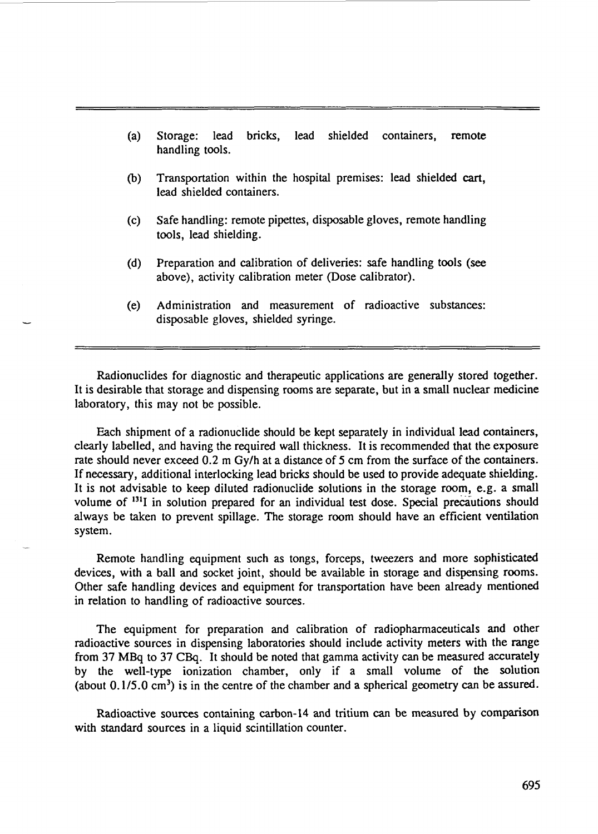- (a) Storage: lead bricks, lead shielded containers, remote handling tools.
- (b) Transportation within the hospital premises: lead shielded cart, lead shielded containers.
- (c) Safe handling: remote pipettes, disposable gloves, remote handling tools, lead shielding.
- (d) Preparation and calibration of deliveries: safe handling tools (see above), activity calibration meter (Dose calibrator).
- (e) Administration and measurement of radioactive substances: disposable gloves, shielded syringe.

Radionuclides for diagnostic and therapeutic applications are generally stored together. It is desirable that storage and dispensing rooms are separate, but in a small nuclear medicine laboratory, this may not be possible.

Each shipment of a radionuclide should be kept separately in individual lead containers, clearly labelled, and having the required wall thickness. It is recommended that the exposure rate should never exceed 0.2 m Gy/h at a distance of 5 cm from the surface of the containers. If necessary, additional interlocking lead bricks should be used to provide adequate shielding. It is not advisable to keep diluted radionuclide solutions in the storage room, e.g. a small volume of <sup>131</sup>I in solution prepared for an individual test dose. Special precautions should always be taken to prevent spillage. The storage room should have an efficient ventilation system.

Remote handling equipment such as tongs, forceps, tweezers and more sophisticated devices, with a ball and socket joint, should be available in storage and dispensing rooms. Other safe handling devices and equipment for transportation have been already mentioned in relation to handling of radioactive sources.

The equipment for preparation and calibration of radiopharmaceuticals and other radioactive sources in dispensing laboratories should include activity meters with the range from 37 MBq to 37 CBq. It should be noted that gamma activity can be measured accurately by the well-type ionization chamber, only if a small volume of the solution (about  $0.1/5.0 \text{ cm}^3$ ) is in the centre of the chamber and a spherical geometry can be assured.

Radioactive sources containing carbon-14 and tritium can be measured by comparison with standard sources in a liquid scintillation counter.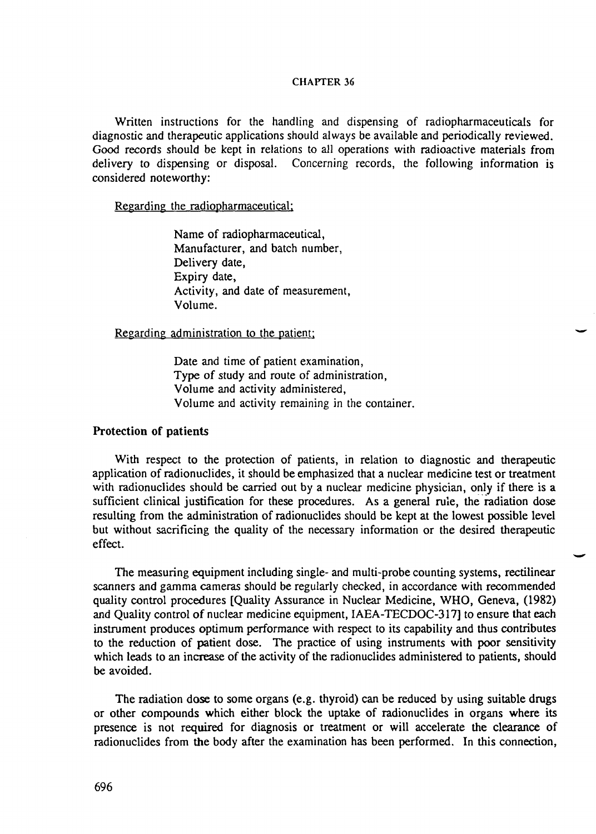Written instructions for the handling and dispensing of radiopharmaceuticals for diagnostic and therapeutic applications should always be available and periodically reviewed. Good records should be kept in relations to all operations with radioactive materials from delivery to dispensing or disposal. Concerning records, the following information is considered noteworthy:

Regarding the radiopharmaceutical;

Name of radiopharmaceutical, Manufacturer, and batch number, Delivery date, Expiry date, Activity, and date of measurement, Volume.

Regarding administration to the patient:

Date and time of patient examination, Type of study and route of administration, Volume and activity administered, Volume and activity remaining in the container.

### Protection of patients

With respect to the protection of patients, in relation to diagnostic and therapeutic application of radionuclides, it should be emphasized that a nuclear medicine test or treatment with radionuclides should be carried out by a nuclear medicine physician, only if there is a sufficient clinical justification for these procedures. As a general rule, the radiation dose resulting from the administration of radionuclides should be kept at the lowest possible level but without sacrificing the quality of the necessary information or the desired therapeutic effect.

The measuring equipment including single- and multi-probe counting systems, rectilinear scanners and gamma cameras should be regularly checked, in accordance with recommended quality control procedures [Quality Assurance in Nuclear Medicine, WHO, Geneva, (1982) and Quality control of nuclear medicine equipment, IAEA-TECDOC-317] to ensure that each instrument produces optimum performance with respect to its capability and thus contributes to the reduction of patient dose. The practice of using instruments with poor sensitivity which leads to an increase of the activity of the radionuclides administered to patients, should be avoided.

The radiation dose to some organs (e.g. thyroid) can be reduced by using suitable drugs or other compounds which either block the uptake of radionuclides in organs where its presence is not required for diagnosis or treatment or will accelerate the clearance of radionuclides from the body after the examination has been performed. In this connection,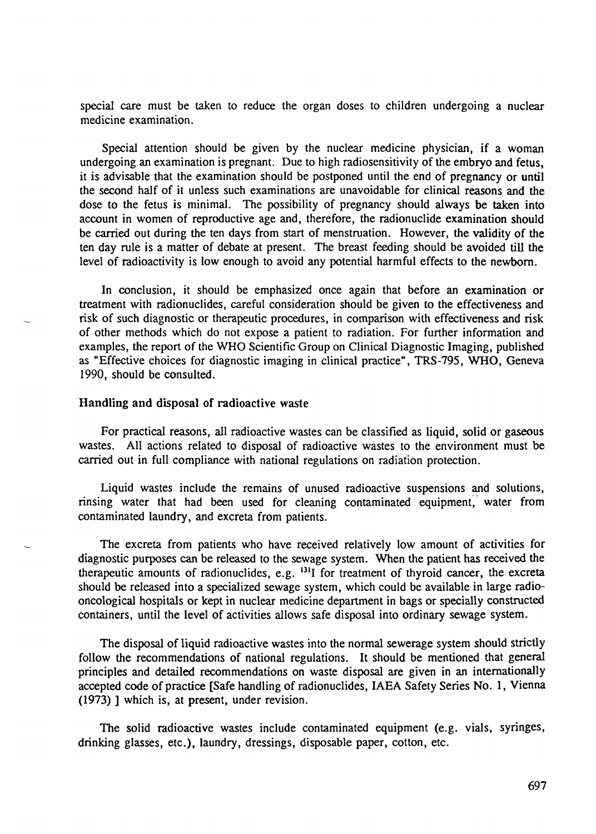special care must be taken to reduce the organ doses to children undergoing a nuclear medicine examination.

Special attention should be given by the nuclear medicine physician, if a woman undergoing an examination is pregnant. Due to high radiosensitivity of the embryo and fetus, it is advisable that the examination should be postponed until the end of pregnancy or until the second half of it unless such examinations are unavoidable for clinical reasons and the dose to the fetus is minimal. The possibility of pregnancy should always be taken into account in women of reproductive age and, therefore, the radionuclide examination should be carried out during the ten days from start of menstruation. However, the validity of the ten day rule is a matter of debate at present. The breast feeding should be avoided till the level of radioactivity is low enough to avoid any potential harmful effects to the newborn.

In conclusion, it should be emphasized once again that before an examination or treatment with radionuclides, careful consideration should be given to the effectiveness and risk of such diagnostic or therapeutic procedures, in comparison with effectiveness and risk of other methods which do not expose a patient to radiation. For further information and examples, the report of the WHO Scientific Group on Clinical Diagnostic Imaging, published as "Effective choices for diagnostic imaging in clinical practice", TRS-795, WHO, Geneva 1990, should be consulted.

### Handling and disposal of radioactive waste

For practical reasons, all radioactive wastes can be classified as liquid, solid or gaseous wastes. All actions related to disposal of radioactive wastes to the environment must be carried out in full compliance with national regulations on radiation protection.

Liquid wastes include the remains of unused radioactive suspensions and solutions, rinsing water that had been used for cleaning contaminated equipment, water from contaminated laundry, and excreta from patients.

The excreta from patients who have received relatively low amount of activities for diagnostic purposes can be released to the sewage system. When the patient has received the therapeutic amounts of radionuclides, e.g.  $^{131}I$  for treatment of thyroid cancer, the excreta should be released into a specialized sewage system, which could be available in large radiooncological hospitals or kept in nuclear medicine department in bags or specially constructed containers, until the level of activities allows safe disposal into ordinary sewage system.

The disposal of liquid radioactive wastes into the normal sewerage system should strictly follow the recommendations of national regulations. It should be mentioned that general principles and detailed recommendations on waste disposal are given in an internationally accepted code of practice [Safe handling of radionuclides, IAEA Safety Series No. 1, Vienna (1973) ] which is, at present, under revision.

The solid radioactive wastes include contaminated equipment (e.g. vials, syringes, drinking glasses, etc.), laundry, dressings, disposable paper, cotton, etc.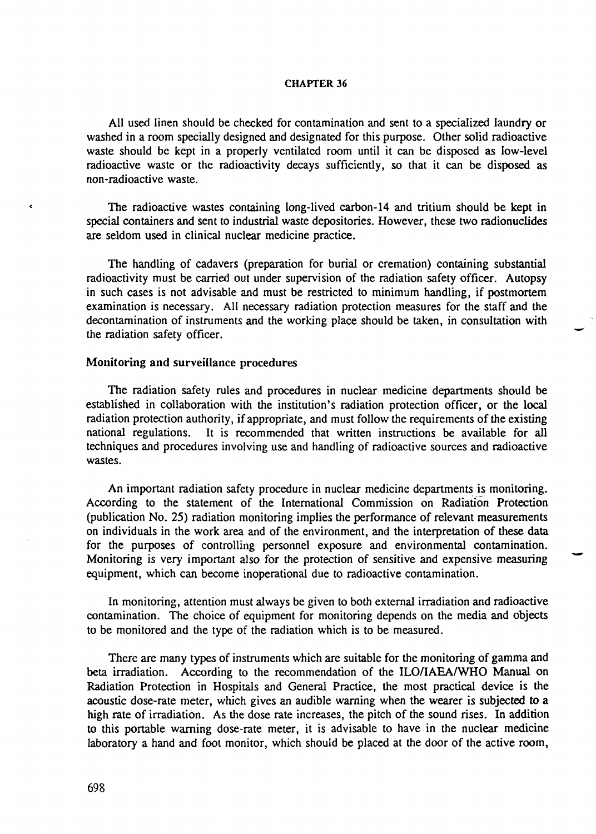All used linen should be checked for contamination and sent to a specialized laundry or washed in a room specially designed and designated for this purpose. Other solid radioactive waste should be kept in a properly ventilated room until it can be disposed as low-level radioactive waste or the radioactivity decays sufficiently, so that it can be disposed as non-radioactive waste.

The radioactive wastes containing long-lived carbon-14 and tritium should be kept in special containers and sent to industrial waste depositories. However, these two radionuclides are seldom used in clinical nuclear medicine practice.

The handling of cadavers (preparation for burial or cremation) containing substantial radioactivity must be carried out under supervision of the radiation safety officer. Autopsy in such cases is not advisable and must be restricted to minimum handling, if postmortem examination is necessary. All necessary radiation protection measures for the staff and the decontamination of instruments and the working place should be taken, in consultation with the radiation safety officer.

### Monitoring and surveillance procedures

The radiation safety rules and procedures in nuclear medicine departments should be established in collaboration with the institution's radiation protection officer, or the local radiation protection authority, if appropriate, and must follow the requirements of the existing national regulations. It is recommended that written instructions be available for all techniques and procedures involving use and handling of radioactive sources and radioactive wastes.

An important radiation safety procedure in nuclear medicine departments is monitoring. According to the statement of the International Commission on Radiation Protection (publication No. 25) radiation monitoring implies the performance of relevant measurements on individuals in the work area and of the environment, and the interpretation of these data for the purposes of controlling personnel exposure and environmental contamination. Monitoring is very important also for the protection of sensitive and expensive measuring equipment, which can become inoperational due to radioactive contamination.

In monitoring, attention must always be given to both external irradiation and radioactive contamination. The choice of equipment for monitoring depends on the media and objects to be monitored and the type of the radiation which is to be measured.

There are many types of instruments which are suitable for the monitoring of gamma and beta irradiation. According to the recommendation of the ILO/IAEA/WHO Manual on Radiation Protection in Hospitals and General Practice, the most practical device is the acoustic dose-rate meter, which gives an audible warning when the wearer is subjected to a high rate of irradiation. As the dose rate increases, the pitch of the sound rises. In addition to this portable warning dose-rate meter, it is advisable to have in the nuclear medicine laboratory a hand and foot monitor, which should be placed at the door of the active room,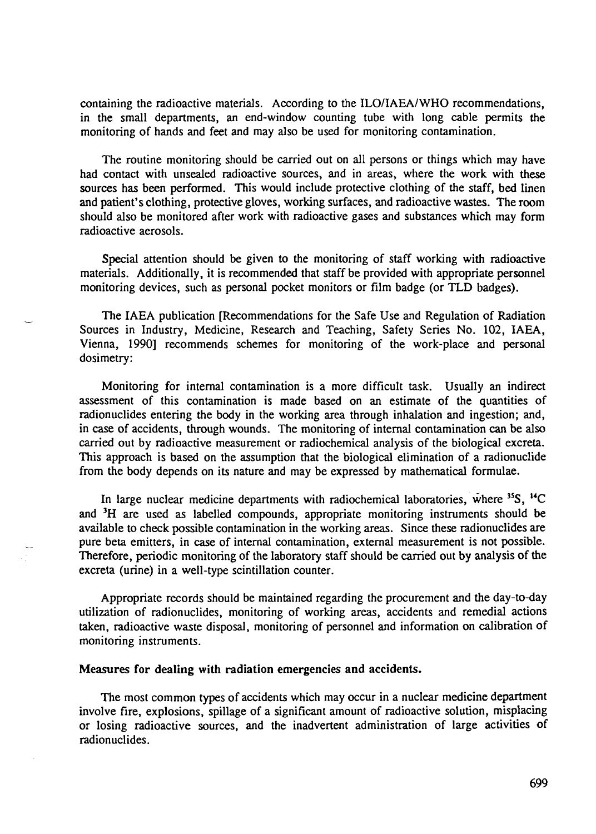containing the radioactive materials. According to the ILO/IAEA/WHO recommendations, in the small departments, an end-window counting tube with long cable permits the monitoring of hands and feet and may also be used for monitoring contamination.

The routine monitoring should be carried out on all persons or things which may have had contact with unsealed radioactive sources, and in areas, where the work with these sources has been performed. This would include protective clothing of the staff, bed linen and patient's clothing, protective gloves, working surfaces, and radioactive wastes. The room should also be monitored after work with radioactive gases and substances which may form radioactive aerosols.

Special attention should be given to the monitoring of staff working with radioactive materials. Additionally, it is recommended that staff be provided with appropriate personnel monitoring devices, such as personal pocket monitors or film badge (or TLD badges).

The IAEA publication [Recommendations for the Safe Use and Regulation of Radiation Sources in Industry, Medicine, Research and Teaching, Safety Series No. 102, IAEA, Vienna, 1990] recommends schemes for monitoring of the work-place and personal dosimetry:

Monitoring for internal contamination is a more difficult task. Usually an indirect assessment of this contamination is made based on an estimate of the quantities of radionuclides entering the body in the working area through inhalation and ingestion; and, in case of accidents, through wounds. The monitoring of internal contamination can be also carried out by radioactive measurement or radiochemical analysis of the biological excreta. This approach is based on the assumption that the biological elimination of a radionuclide from the body depends on its nature and may be expressed by mathematical formulae.

In large nuclear medicine departments with radiochemical laboratories, where <sup>35</sup>S, <sup>14</sup>C and <sup>3</sup>H are used as labelled compounds, appropriate monitoring instruments should be available to check possible contamination in the working areas. Since these radionuclides are pure beta emitters, in case of internal contamination, external measurement is not possible. Therefore, periodic monitoring of the laboratory staff should be carried out by analysis of the excreta (urine) in a well-type scintillation counter.

Appropriate records should be maintained regarding the procurement and the day-to-day utilization of radionuclides, monitoring of working areas, accidents and remedial actions taken, radioactive waste disposal, monitoring of personnel and information on calibration of monitoring instruments.

### Measures for dealing with radiation emergencies and accidents.

The most common types of accidents which may occur in a nuclear medicine department involve fire, explosions, spillage of a significant amount of radioactive solution, misplacing or losing radioactive sources, and the inadvertent administration of large activities of radionuclides.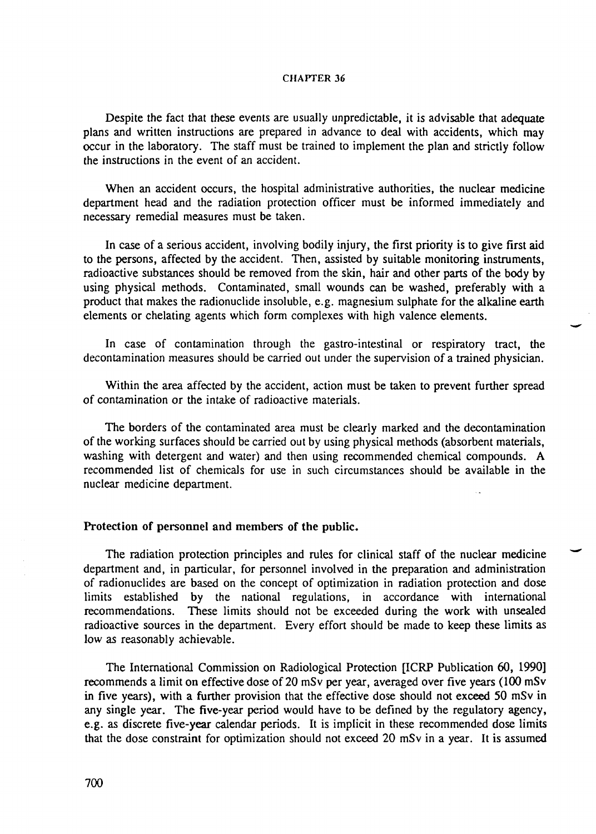Despite the fact that these events are usually unpredictable, it is advisable that adequate plans and written instructions are prepared in advance to deal with accidents, which may occur in the laboratory. The staff must be trained to implement the plan and strictly follow the instructions in the event of an accident.

When an accident occurs, the hospital administrative authorities, the nuclear medicine department head and the radiation protection officer must be informed immediately and necessary remedial measures must be taken.

In case of a serious accident, involving bodily injury, the first priority is to give first aid to the persons, affected by the accident. Then, assisted by suitable monitoring instruments, radioactive substances should be removed from the skin, hair and other parts of the body by using physical methods. Contaminated, small wounds can be washed, preferably with a product that makes the radionuclide insoluble, e.g. magnesium sulphate for the alkaline earth elements or chelating agents which form complexes with high valence elements.

In case of contamination through the gastro-intestinal or respiratory tract, the decontamination measures should be carried out under the supervision of a trained physician.

Within the area affected by the accident, action must be taken to prevent further spread of contamination or the intake of radioactive materials.

The borders of the contaminated area must be clearly marked and the decontamination of the working surfaces should be carried out by using physical methods (absorbent materials, washing with detergent and water) and then using recommended chemical compounds. A recommended list of chemicals for use in such circumstances should be available in the nuclear medicine department.

#### Protection of personnel and members of the public.

The radiation protection principles and rules for clinical staff of the nuclear medicine department and, in particular, for personnel involved in the preparation and administration of radionuclides are based on the concept of optimization in radiation protection and dose limits established by the national regulations, in accordance with international recommendations. These limits should not be exceeded during the work with unsealed radioactive sources in the department. Every effort should be made to keep these limits as low as reasonably achievable.

The International Commission on Radiological Protection [ICRP Publication 60, 1990] recommends a limit on effective dose of 20 mSv per year, averaged over five years (100 mSv in five years), with a further provision that the effective dose should not exceed 50 mSv in any single year. The five-year period would have to be defined by the regulatory agency, e.g. as discrete five-year calendar periods. It is implicit in these recommended dose limits that the dose constraint for optimization should not exceed 20 mSv in a year. It is assumed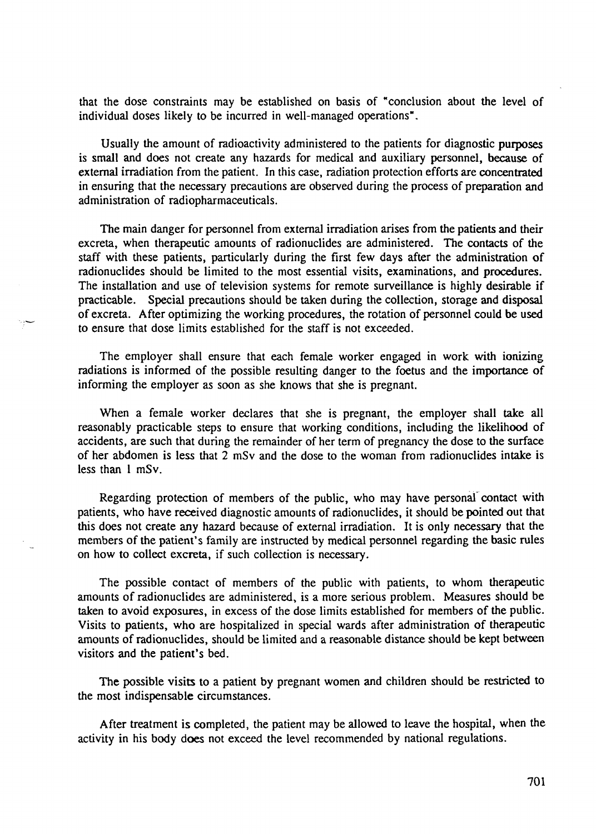that the dose constraints may be established on basis of "conclusion about the level of individual doses likely to be incurred in well-managed operations".

Usually the amount of radioactivity administered to the patients for diagnostic purposes is small and does not create any hazards for medical and auxiliary personnel, because of external irradiation from the patient. In this case, radiation protection efforts are concentrated in ensuring that the necessary precautions are observed during the process of preparation and administration of radiopharmaceuticals.

The main danger for personnel from external irradiation arises from the patients and their excreta, when therapeutic amounts of radionuclides are administered. The contacts of the staff with these patients, particularly during the first few days after the administration of radionuclides should be limited to the most essential visits, examinations, and procedures. The installation and use of television systems for remote surveillance is highly desirable if practicable. Special precautions should be taken during the collection, storage and disposal of excreta. After optimizing the working procedures, the rotation of personnel could be used to ensure that dose limits established for the staff is not exceeded.

The employer shall ensure that each female worker engaged in work with ionizing radiations is informed of the possible resulting danger to the foetus and the importance of informing the employer as soon as she knows that she is pregnant.

When a female worker declares that she is pregnant, the employer shall take all reasonably practicable steps to ensure that working conditions, including the likelihood of accidents, are such that during the remainder of her term of pregnancy the dose to the surface of her abdomen is less that 2 mSv and the dose to the woman from radionuclides intake is less than 1 mSv.

Regarding protection of members of the public, who may have personal contact with patients, who have received diagnostic amounts of radionuclides, it should be pointed out that this does not create any hazard because of external irradiation. It is only necessary that the members of the patient's family are instructed by medical personnel regarding the basic rules on how to collect excreta, if such collection is necessary.

The possible contact of members of the public with patients, to whom therapeutic amounts of radionuclides are administered, is a more serious problem. Measures should be taken to avoid exposures, in excess of the dose limits established for members of the public. Visits to patients, who are hospitalized in special wards after administration of therapeutic amounts of radionuclides, should be limited and a reasonable distance should be kept between visitors and the patient's bed.

The possible visits to a patient by pregnant women and children should be restricted to the most indispensable circumstances.

After treatment is completed, the patient may be allowed to leave the hospital, when the activity in his body does not exceed the level recommended by national regulations.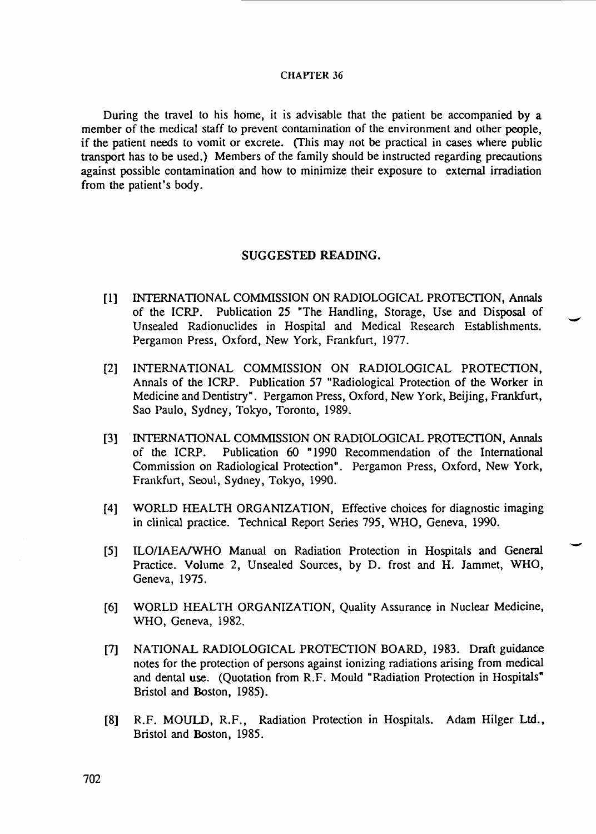During the travel to his home, it is advisable that the patient be accompanied by a member of the medical staff to prevent contamination of the environment and other people, if the patient needs to vomit or excrete. (This may not be practical in cases where public transport has to be used.) Members of the family should be instructed regarding precautions against possible contamination and how to minimize their exposure to external irradiation from the patient's body.

# SUGGESTED READING.

- [1] INTERNATIONAL COMMISSION ON RADIOLOGICAL PROTECTION, Annals of the ICRP. Publication 25 "The Handling, Storage, Use and Disposal of Unsealed Radionuclides in Hospital and Medical Research Establishments. Pergamon Press, Oxford, New York, Frankfurt, 1977.
- [2] INTERNATIONAL COMMISSION ON RADIOLOGICAL PROTECTION, Annals of the ICRP. Publication 57 "Radiological Protection of the Worker in Medicine and Dentistry". Pergamon Press, Oxford, New York, Beijing, Frankfurt, Sao Paulo, Sydney, Tokyo, Toronto, 1989.
- [3] INTERNATIONAL COMMISSION ON RADIOLOGICAL PROTECTION, Annals of the ICRP. Publication 60 "1990 Recommendation of the International Commission on Radiological Protection". Pergamon Press, Oxford, New York, Frankfurt, Seoul, Sydney, Tokyo, 1990.
- [4] WORLD HEALTH ORGANIZATION, Effective choices for diagnostic imaging in clinical practice. Technical Report Series 795, WHO, Geneva, 1990.
- [5] ILO/IAEA/WHO Manual on Radiation Protection in Hospitals and General Practice. Volume 2, Unsealed Sources, by D. frost and H. Jammet, WHO, Geneva, 1975.
- [6] WORLD HEALTH ORGANIZATION, Quality Assurance in Nuclear Medicine, WHO, Geneva, 1982.
- [7] NATIONAL RADIOLOGICAL PROTECTION BOARD, 1983. Draft guidance notes for the protection of persons against ionizing radiations arising from medical and dental use. (Quotation from R.F. Mould "Radiation Protection in Hospitals" Bristol and Boston, 1985).
- [8] R.F. MOULD, R.F., Radiation Protection in Hospitals. Adam Hilger Ltd., Bristol and Boston, 1985.